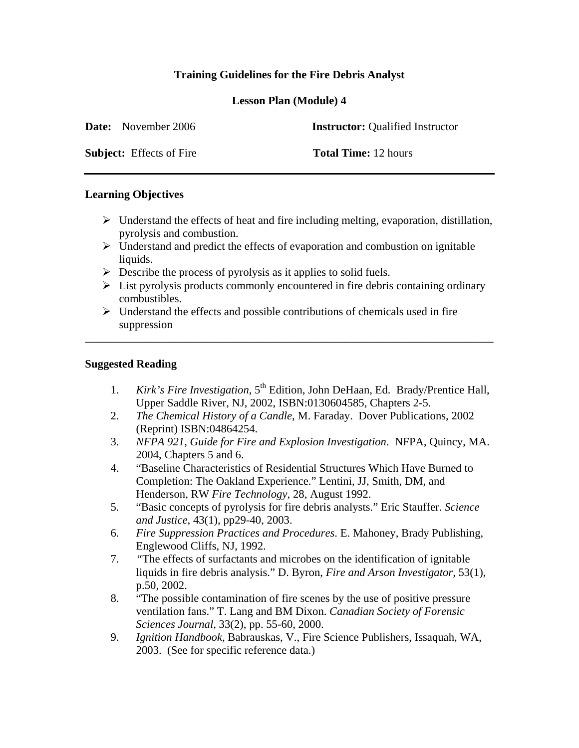# **Training Guidelines for the Fire Debris Analyst**

**Lesson Plan (Module) 4** 

| <b>Date:</b> November 2006      | <b>Instructor:</b> Qualified Instructor |
|---------------------------------|-----------------------------------------|
| <b>Subject:</b> Effects of Fire | <b>Total Time:</b> 12 hours             |

## **Learning Objectives**

- $\triangleright$  Understand the effects of heat and fire including melting, evaporation, distillation, pyrolysis and combustion.
- $\triangleright$  Understand and predict the effects of evaporation and combustion on ignitable liquids.
- $\triangleright$  Describe the process of pyrolysis as it applies to solid fuels.
- $\triangleright$  List pyrolysis products commonly encountered in fire debris containing ordinary combustibles.
- $\triangleright$  Understand the effects and possible contributions of chemicals used in fire suppression

\_\_\_\_\_\_\_\_\_\_\_\_\_\_\_\_\_\_\_\_\_\_\_\_\_\_\_\_\_\_\_\_\_\_\_\_\_\_\_\_\_\_\_\_\_\_\_\_\_\_\_\_\_\_\_\_\_\_\_\_\_\_\_\_\_\_\_\_\_\_\_\_

## **Suggested Reading**

- 1. *Kirk's Fire Investigation*, 5<sup>th</sup> Edition, John DeHaan, Ed. Brady/Prentice Hall, Upper Saddle River, NJ, 2002, ISBN:0130604585, Chapters 2-5.
- 2. *The Chemical History of a Candle*, M. Faraday. Dover Publications, 2002 (Reprint) ISBN:04864254.
- 3. *NFPA 921, Guide for Fire and Explosion Investigation*. NFPA, Quincy, MA. 2004, Chapters 5 and 6.
- 4. "Baseline Characteristics of Residential Structures Which Have Burned to Completion: The Oakland Experience." Lentini, JJ, Smith, DM, and Henderson, RW *Fire Technology*, 28, August 1992.
- 5. "Basic concepts of pyrolysis for fire debris analysts." Eric Stauffer. *Science and Justice*, 43(1), pp29-40, 2003.
- 6. *Fire Suppression Practices and Procedures*. E. Mahoney, Brady Publishing, Englewood Cliffs, NJ, 1992.
- 7. *"*The effects of surfactants and microbes on the identification of ignitable liquids in fire debris analysis." D. Byron, *Fire and Arson Investigator,* 53(1), p.50, 2002.
- 8. "The possible contamination of fire scenes by the use of positive pressure ventilation fans." T. Lang and BM Dixon. *Canadian Society of Forensic Sciences Journal,* 33(2), pp. 55-60, 2000.
- 9. *Ignition Handbook,* Babrauskas, V., Fire Science Publishers, Issaquah, WA, 2003. (See for specific reference data.)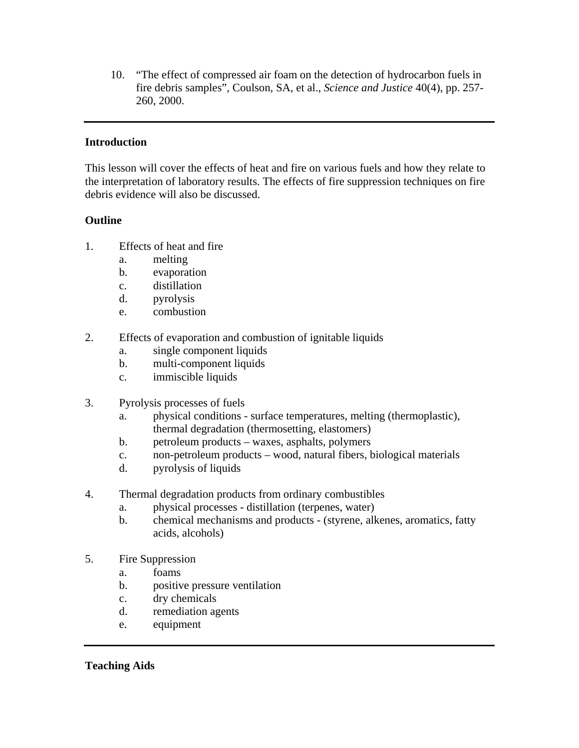10. "The effect of compressed air foam on the detection of hydrocarbon fuels in fire debris samples", Coulson, SA, et al., *Science and Justice* 40(4), pp. 257- 260, 2000.

## **Introduction**

This lesson will cover the effects of heat and fire on various fuels and how they relate to the interpretation of laboratory results. The effects of fire suppression techniques on fire debris evidence will also be discussed.

# **Outline**

- 1. Effects of heat and fire
	- a. melting
	- b. evaporation
	- c. distillation
	- d. pyrolysis
	- e. combustion
- 2. Effects of evaporation and combustion of ignitable liquids
	- a. single component liquids
	- b. multi-component liquids
	- c. immiscible liquids
- 3. Pyrolysis processes of fuels
	- a. physical conditions surface temperatures, melting (thermoplastic), thermal degradation (thermosetting, elastomers)
	- b. petroleum products waxes, asphalts, polymers
	- c. non-petroleum products wood, natural fibers, biological materials
	- d. pyrolysis of liquids
- 4. Thermal degradation products from ordinary combustibles
	- a. physical processes distillation (terpenes, water)
	- b. chemical mechanisms and products (styrene, alkenes, aromatics, fatty acids, alcohols)
- 5. Fire Suppression
	- a. foams
	- b. positive pressure ventilation
	- c. dry chemicals
	- d. remediation agents
	- e. equipment

**Teaching Aids**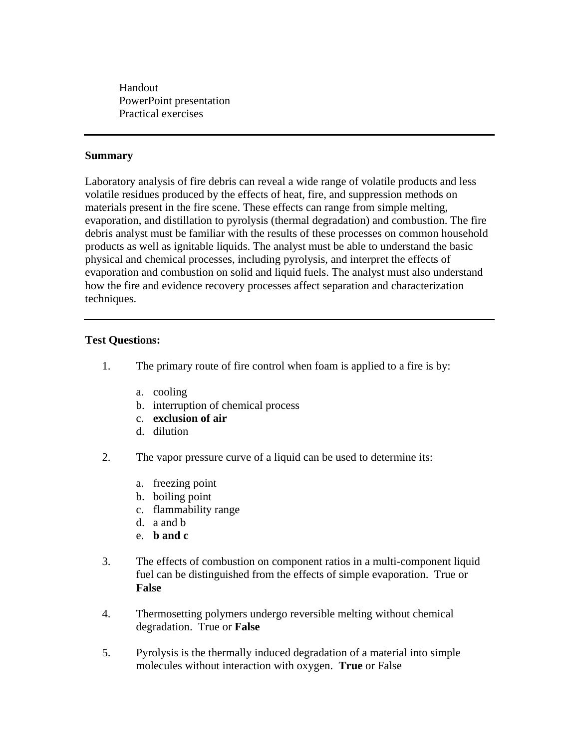Handout PowerPoint presentation Practical exercises

### **Summary**

Laboratory analysis of fire debris can reveal a wide range of volatile products and less volatile residues produced by the effects of heat, fire, and suppression methods on materials present in the fire scene. These effects can range from simple melting, evaporation, and distillation to pyrolysis (thermal degradation) and combustion. The fire debris analyst must be familiar with the results of these processes on common household products as well as ignitable liquids. The analyst must be able to understand the basic physical and chemical processes, including pyrolysis, and interpret the effects of evaporation and combustion on solid and liquid fuels. The analyst must also understand how the fire and evidence recovery processes affect separation and characterization techniques.

### **Test Questions:**

- 1. The primary route of fire control when foam is applied to a fire is by:
	- a. cooling
	- b. interruption of chemical process
	- c. **exclusion of air**
	- d. dilution
- 2. The vapor pressure curve of a liquid can be used to determine its:
	- a. freezing point
	- b. boiling point
	- c. flammability range
	- d. a and b
	- e. **b and c**
- 3. The effects of combustion on component ratios in a multi-component liquid fuel can be distinguished from the effects of simple evaporation. True or **False**
- 4. Thermosetting polymers undergo reversible melting without chemical degradation.True or **False**
- 5. Pyrolysis is the thermally induced degradation of a material into simple molecules without interaction with oxygen. **True** or False